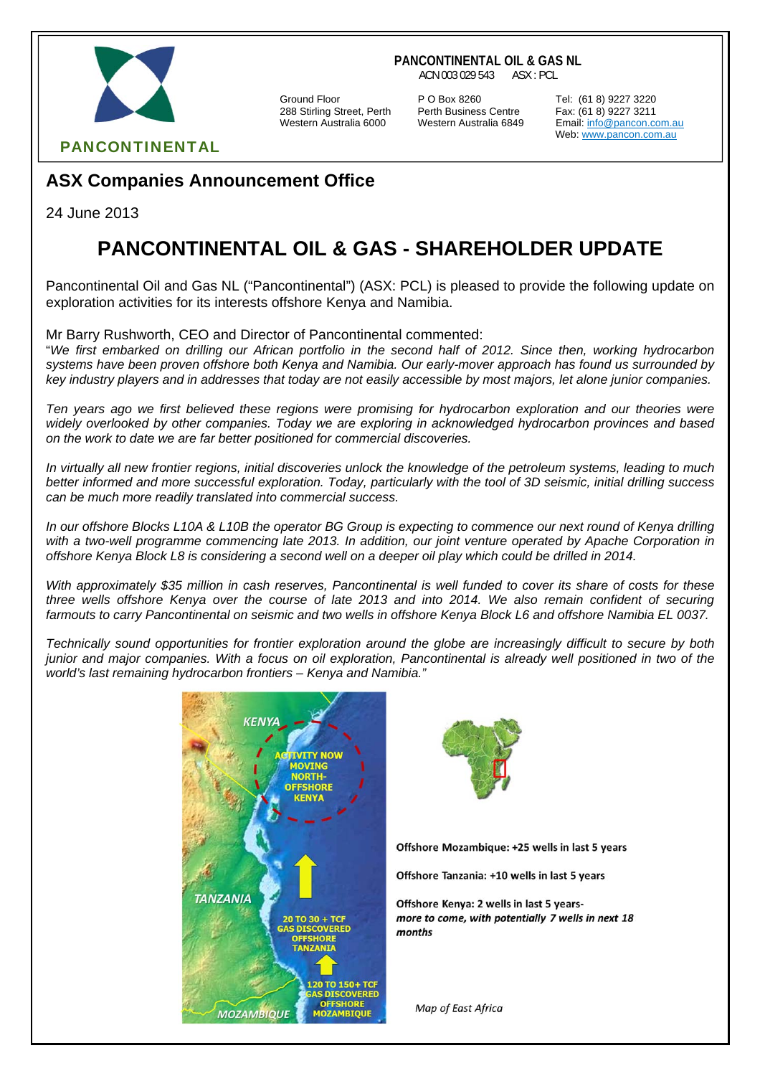

**PANCONTINENTAL OIL & GAS NL**

ACN 003 029 543 ASX : PCL

288 Stirling Street, Perth Perth Business Centre Fax: (61 8) 9227 3211

Ground Floor P O Box 8260 Tel: (61 8) 9227 3220

Email: info@pancon.com.au Web: www.pancon.com.au

PANCONTINENTAL

# **ASX Companies Announcement Office**

24 June 2013

# **PANCONTINENTAL OIL & GAS - SHAREHOLDER UPDATE**

Pancontinental Oil and Gas NL ("Pancontinental") (ASX: PCL) is pleased to provide the following update on exploration activities for its interests offshore Kenya and Namibia.

Mr Barry Rushworth, CEO and Director of Pancontinental commented:

"*We first embarked on drilling our African portfolio in the second half of 2012. Since then, working hydrocarbon systems have been proven offshore both Kenya and Namibia. Our early-mover approach has found us surrounded by key industry players and in addresses that today are not easily accessible by most majors, let alone junior companies.* 

*Ten years ago we first believed these regions were promising for hydrocarbon exploration and our theories were widely overlooked by other companies. Today we are exploring in acknowledged hydrocarbon provinces and based on the work to date we are far better positioned for commercial discoveries.* 

*In virtually all new frontier regions, initial discoveries unlock the knowledge of the petroleum systems, leading to much better informed and more successful exploration. Today, particularly with the tool of 3D seismic, initial drilling success can be much more readily translated into commercial success.* 

*In our offshore Blocks L10A & L10B the operator BG Group is expecting to commence our next round of Kenya drilling with a two-well programme commencing late 2013. In addition, our joint venture operated by Apache Corporation in offshore Kenya Block L8 is considering a second well on a deeper oil play which could be drilled in 2014.* 

*With approximately \$35 million in cash reserves, Pancontinental is well funded to cover its share of costs for these three wells offshore Kenya over the course of late 2013 and into 2014. We also remain confident of securing farmouts to carry Pancontinental on seismic and two wells in offshore Kenya Block L6 and offshore Namibia EL 0037.* 

*Technically sound opportunities for frontier exploration around the globe are increasingly difficult to secure by both junior and major companies. With a focus on oil exploration, Pancontinental is already well positioned in two of the world's last remaining hydrocarbon frontiers – Kenya and Namibia."* 





Offshore Mozambique: +25 wells in last 5 years

Offshore Tanzania: +10 wells in last 5 years

Offshore Kenya: 2 wells in last 5 yearsmore to come, with potentially 7 wells in next 18 months

Map of East Africa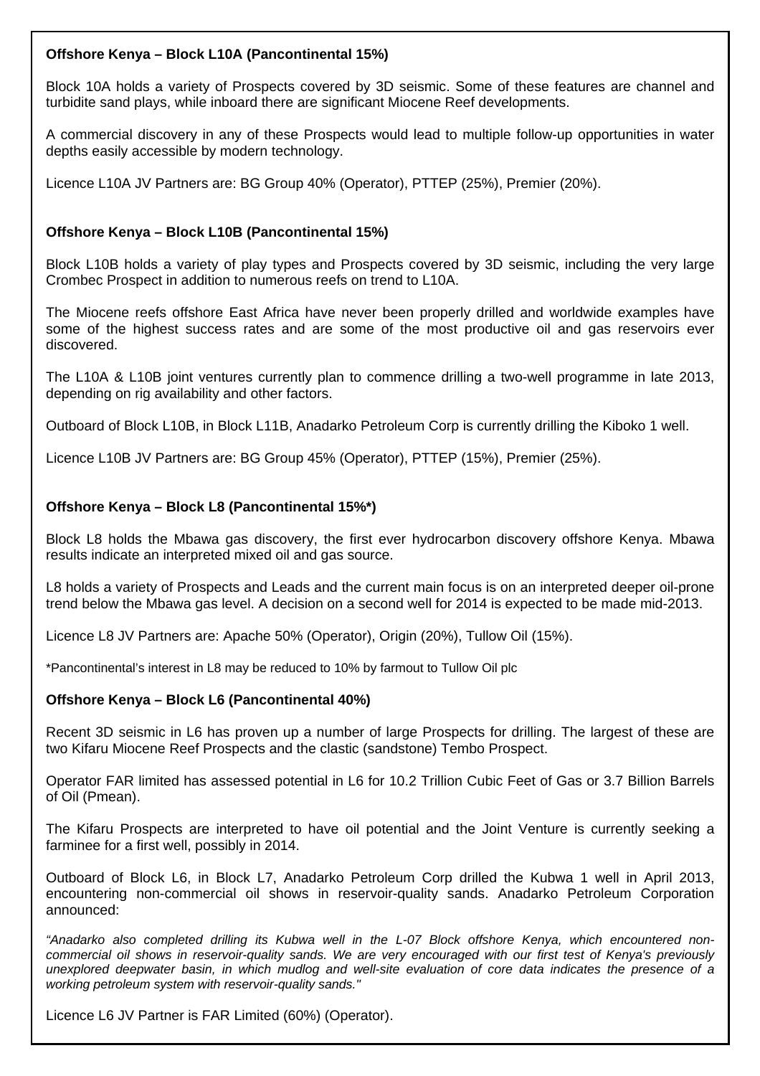#### **Offshore Kenya – Block L10A (Pancontinental 15%)**

Block 10A holds a variety of Prospects covered by 3D seismic. Some of these features are channel and turbidite sand plays, while inboard there are significant Miocene Reef developments.

A commercial discovery in any of these Prospects would lead to multiple follow-up opportunities in water depths easily accessible by modern technology.

Licence L10A JV Partners are: BG Group 40% (Operator), PTTEP (25%), Premier (20%).

### **Offshore Kenya – Block L10B (Pancontinental 15%)**

Block L10B holds a variety of play types and Prospects covered by 3D seismic, including the very large Crombec Prospect in addition to numerous reefs on trend to L10A.

The Miocene reefs offshore East Africa have never been properly drilled and worldwide examples have some of the highest success rates and are some of the most productive oil and gas reservoirs ever discovered.

The L10A & L10B joint ventures currently plan to commence drilling a two-well programme in late 2013, depending on rig availability and other factors.

Outboard of Block L10B, in Block L11B, Anadarko Petroleum Corp is currently drilling the Kiboko 1 well.

Licence L10B JV Partners are: BG Group 45% (Operator), PTTEP (15%), Premier (25%).

#### **Offshore Kenya – Block L8 (Pancontinental 15%\*)**

Block L8 holds the Mbawa gas discovery, the first ever hydrocarbon discovery offshore Kenya. Mbawa results indicate an interpreted mixed oil and gas source.

L8 holds a variety of Prospects and Leads and the current main focus is on an interpreted deeper oil-prone trend below the Mbawa gas level. A decision on a second well for 2014 is expected to be made mid-2013.

Licence L8 JV Partners are: Apache 50% (Operator), Origin (20%), Tullow Oil (15%).

\*Pancontinental's interest in L8 may be reduced to 10% by farmout to Tullow Oil plc

#### **Offshore Kenya – Block L6 (Pancontinental 40%)**

Recent 3D seismic in L6 has proven up a number of large Prospects for drilling. The largest of these are two Kifaru Miocene Reef Prospects and the clastic (sandstone) Tembo Prospect.

Operator FAR limited has assessed potential in L6 for 10.2 Trillion Cubic Feet of Gas or 3.7 Billion Barrels of Oil (Pmean).

The Kifaru Prospects are interpreted to have oil potential and the Joint Venture is currently seeking a farminee for a first well, possibly in 2014.

Outboard of Block L6, in Block L7, Anadarko Petroleum Corp drilled the Kubwa 1 well in April 2013, encountering non-commercial oil shows in reservoir-quality sands. Anadarko Petroleum Corporation announced:

*"Anadarko also completed drilling its Kubwa well in the L-07 Block offshore Kenya, which encountered noncommercial oil shows in reservoir-quality sands. We are very encouraged with our first test of Kenya's previously unexplored deepwater basin, in which mudlog and well-site evaluation of core data indicates the presence of a working petroleum system with reservoir-quality sands."* 

Licence L6 JV Partner is FAR Limited (60%) (Operator).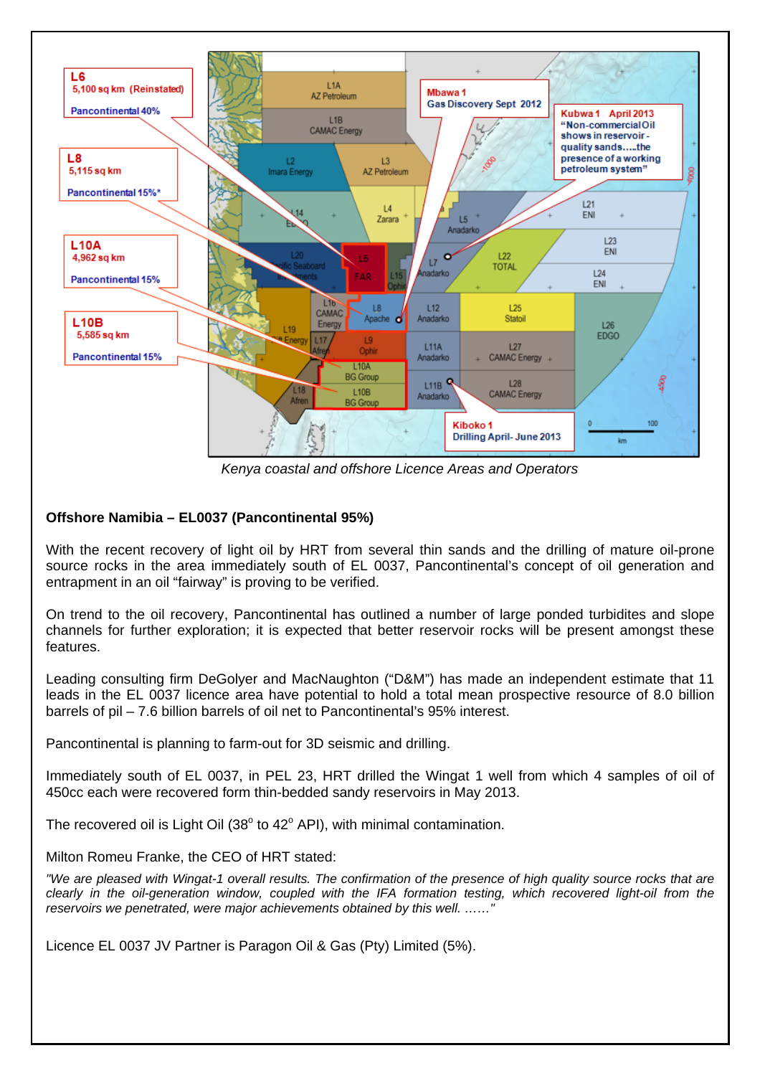

*Kenya coastal and offshore Licence Areas and Operators*

# **Offshore Namibia – EL0037 (Pancontinental 95%)**

With the recent recovery of light oil by HRT from several thin sands and the drilling of mature oil-prone source rocks in the area immediately south of EL 0037, Pancontinental's concept of oil generation and entrapment in an oil "fairway" is proving to be verified.

On trend to the oil recovery, Pancontinental has outlined a number of large ponded turbidites and slope channels for further exploration; it is expected that better reservoir rocks will be present amongst these features.

Leading consulting firm DeGolyer and MacNaughton ("D&M") has made an independent estimate that 11 leads in the EL 0037 licence area have potential to hold a total mean prospective resource of 8.0 billion barrels of pil – 7.6 billion barrels of oil net to Pancontinental's 95% interest.

Pancontinental is planning to farm-out for 3D seismic and drilling.

Immediately south of EL 0037, in PEL 23, HRT drilled the Wingat 1 well from which 4 samples of oil of 450cc each were recovered form thin-bedded sandy reservoirs in May 2013.

The recovered oil is Light Oil  $(38^{\circ}$  to  $42^{\circ}$  API), with minimal contamination.

#### Milton Romeu Franke, the CEO of HRT stated:

*"We are pleased with Wingat-1 overall results. The confirmation of the presence of high quality source rocks that are clearly in the oil-generation window, coupled with the IFA formation testing, which recovered light-oil from the reservoirs we penetrated, were major achievements obtained by this well. ……"*

Licence EL 0037 JV Partner is Paragon Oil & Gas (Pty) Limited (5%).